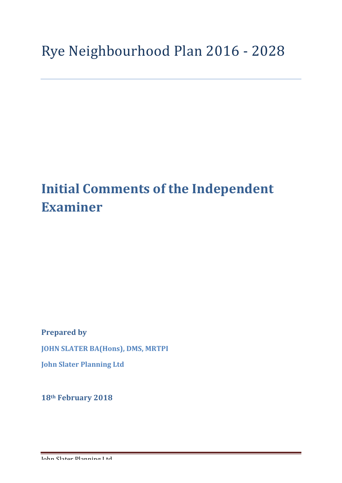# **Initial Comments of the Independent Examiner**

**Prepared by JOHN SLATER BA(Hons), DMS, MRTPI John Slater Planning Ltd**

**18th February 2018**

John Slater Planning Ltd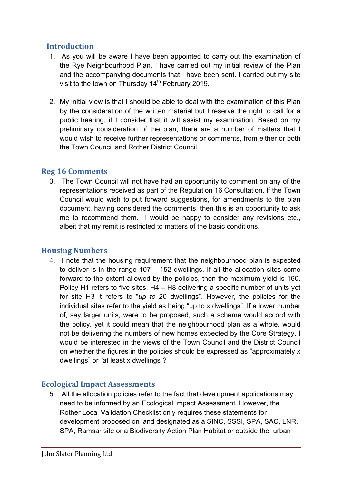# **Introduction**

- 1. As you will be aware I have been appointed to carry out the examination of the Rye Neighbourhood Plan. I have carried out my initial review of the Plan and the accompanying documents that I have been sent. I carried out my site visit to the town on Thursday 14<sup>th</sup> February 2019.
- 2. My initial view is that I should be able to deal with the examination of this Plan by the consideration of the written material but I reserve the right to call for a public hearing, if I consider that it will assist my examination. Based on my preliminary consideration of the plan, there are a number of matters that I would wish to receive further representations or comments, from either or both the Town Council and Rother District Council.

## **Reg 16 Comments**

3. The Town Council will not have had an opportunity to comment on any of the representations received as part of the Regulation 16 Consultation. If the Town Council would wish to put forward suggestions, for amendments to the plan document, having considered the comments, then this is an opportunity to ask me to recommend them. I would be happy to consider any revisions etc., albeit that my remit is restricted to matters of the basic conditions.

## **Housing Numbers**

4. I note that the housing requirement that the neighbourhood plan is expected to deliver is in the range 107 – 152 dwellings. If all the allocation sites come forward to the extent allowed by the policies, then the maximum yield is 160. Policy H1 refers to five sites, H4 – H8 delivering a specific number of units yet for site H3 it refers to "*up to* 20 dwellings". However, the policies for the individual sites refer to the yield as being "up to x dwellings". If a lower number of, say larger units, were to be proposed, such a scheme would accord with the policy, yet it could mean that the neighbourhood plan as a whole, would not be delivering the numbers of new homes expected by the Core Strategy. I would be interested in the views of the Town Council and the District Council on whether the figures in the policies should be expressed as "approximately x dwellings" or "at least x dwellings"?

## **Ecological Impact Assessments**

5. All the allocation policies refer to the fact that development applications may need to be informed by an Ecological Impact Assessment. However, the Rother Local Validation Checklist only requires these statements for development proposed on land designated as a SINC, SSSI, SPA, SAC, LNR, SPA, Ramsar site or a Biodiversity Action Plan Habitat or outside the urban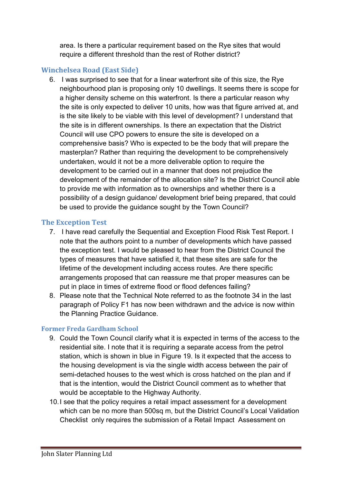area. Is there a particular requirement based on the Rye sites that would require a different threshold than the rest of Rother district?

## **Winchelsea Road (East Side)**

6. I was surprised to see that for a linear waterfront site of this size, the Rye neighbourhood plan is proposing only 10 dwellings. It seems there is scope for a higher density scheme on this waterfront. Is there a particular reason why the site is only expected to deliver 10 units, how was that figure arrived at, and is the site likely to be viable with this level of development? I understand that the site is in different ownerships. Is there an expectation that the District Council will use CPO powers to ensure the site is developed on a comprehensive basis? Who is expected to be the body that will prepare the masterplan? Rather than requiring the development to be comprehensively undertaken, would it not be a more deliverable option to require the development to be carried out in a manner that does not prejudice the development of the remainder of the allocation site? Is the District Council able to provide me with information as to ownerships and whether there is a possibility of a design guidance/ development brief being prepared, that could be used to provide the guidance sought by the Town Council?

## **The Exception Test**

- 7. I have read carefully the Sequential and Exception Flood Risk Test Report. I note that the authors point to a number of developments which have passed the exception test. I would be pleased to hear from the District Council the types of measures that have satisfied it, that these sites are safe for the lifetime of the development including access routes. Are there specific arrangements proposed that can reassure me that proper measures can be put in place in times of extreme flood or flood defences failing?
- 8. Please note that the Technical Note referred to as the footnote 34 in the last paragraph of Policy F1 has now been withdrawn and the advice is now within the Planning Practice Guidance.

## **Former Freda Gardham School**

- 9. Could the Town Council clarify what it is expected in terms of the access to the residential site. I note that it is requiring a separate access from the petrol station, which is shown in blue in Figure 19. Is it expected that the access to the housing development is via the single width access between the pair of semi-detached houses to the west which is cross hatched on the plan and if that is the intention, would the District Council comment as to whether that would be acceptable to the Highway Authority.
- 10.I see that the policy requires a retail impact assessment for a development which can be no more than 500sq m, but the District Council's Local Validation Checklist only requires the submission of a Retail Impact Assessment on